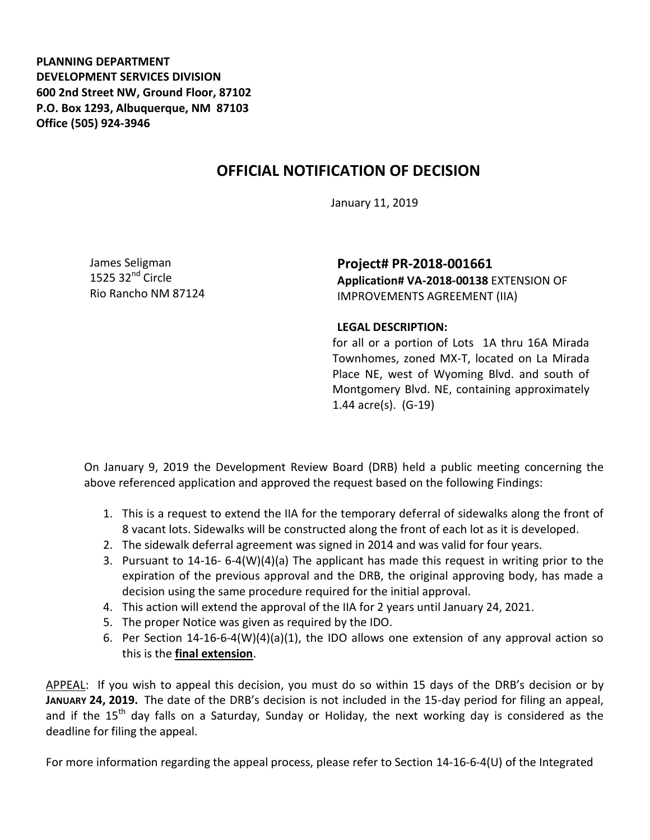**PLANNING DEPARTMENT DEVELOPMENT SERVICES DIVISION 600 2nd Street NW, Ground Floor, 87102 P.O. Box 1293, Albuquerque, NM 87103 Office (505) 924-3946** 

## **OFFICIAL NOTIFICATION OF DECISION**

January 11, 2019

James Seligman 1525  $32<sup>nd</sup>$  Circle Rio Rancho NM 87124

**Project# PR-2018-001661 Application# VA-2018-00138** EXTENSION OF IMPROVEMENTS AGREEMENT (IIA)

## **LEGAL DESCRIPTION:**

for all or a portion of Lots 1A thru 16A Mirada Townhomes, zoned MX-T, located on La Mirada Place NE, west of Wyoming Blvd. and south of Montgomery Blvd. NE, containing approximately 1.44 acre(s). (G-19)

On January 9, 2019 the Development Review Board (DRB) held a public meeting concerning the above referenced application and approved the request based on the following Findings:

- 1. This is a request to extend the IIA for the temporary deferral of sidewalks along the front of 8 vacant lots. Sidewalks will be constructed along the front of each lot as it is developed.
- 2. The sidewalk deferral agreement was signed in 2014 and was valid for four years.
- 3. Pursuant to 14-16- 6-4(W)(4)(a) The applicant has made this request in writing prior to the expiration of the previous approval and the DRB, the original approving body, has made a decision using the same procedure required for the initial approval.
- 4. This action will extend the approval of the IIA for 2 years until January 24, 2021.
- 5. The proper Notice was given as required by the IDO.
- 6. Per Section 14-16-6-4(W)(4)(a)(1), the IDO allows one extension of any approval action so this is the **final extension**.

APPEAL: If you wish to appeal this decision, you must do so within 15 days of the DRB's decision or by **JANUARY 24, 2019.** The date of the DRB's decision is not included in the 15-day period for filing an appeal, and if the  $15<sup>th</sup>$  day falls on a Saturday, Sunday or Holiday, the next working day is considered as the deadline for filing the appeal.

For more information regarding the appeal process, please refer to Section 14-16-6-4(U) of the Integrated